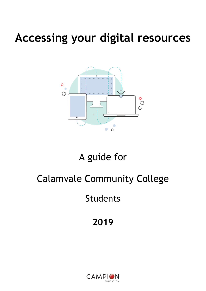# **Accessing your digital resources**



### A guide for

## Calamvale Community College

Students

### **2019**

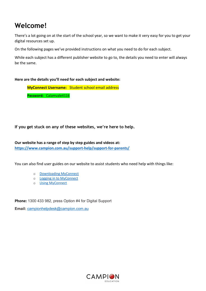### **Welcome!**

There's a lot going on at the start of the school year, so we want to make it very easy for you to get your digital resources set up.

On the following pages we've provided instructions on what you need to do for each subject.

While each subject has a different publisher website to go to, the details you need to enter will always be the same.

### **Here are the details you'll need for each subject and website:**

**MyConnect Username:** Student school email address **Password:** Calamvale4116

**If you get stuck on any of these websites, we're here to help.** 

**Our website has a range of step by step guides and videos at: <https://www.campion.com.au/support-help/support-for-parents/>**

You can also find user guides on our website to assist students who need help with things like:

- o [Downloading MyConnect](http://www.campion.com.au/support-help/support-for-parents/#1475963724708-264bd42a-e6e0%20%20%20%20%20%20%20%20%20%20%20%20%20)
- o [Logging in to MyConnect](https://www.campion.com.au/support-help/support-for-parents/#1475996300573-db2c5adb-2c67%20%20%20%20%20%20%20%20%20%20%20%20)
- o [Using MyConnect](https://www.campion.com.au/support-help/support-for-parents/#1475963725153-ba0d323b-dfa3%20%20%20%20%20%20%20%20%20%20%20%20)

**Phone:** 1300 433 982, press Option #4 for Digital Support

**Email:** [campionhelpdesk@campion.com.au](mailto:campionhelpdesk@campion.com.au)